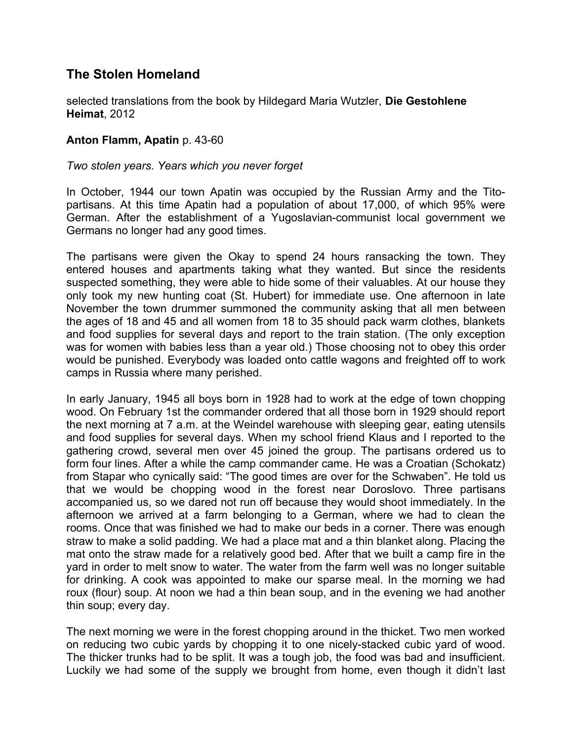## **The Stolen Homeland**

selected translations from the book by Hildegard Maria Wutzler, **Die Gestohlene Heimat**, 2012

## **Anton Flamm, Apatin** p. 43-60

## *Two stolen years. Years which you never forget*

In October, 1944 our town Apatin was occupied by the Russian Army and the Titopartisans. At this time Apatin had a population of about 17,000, of which 95% were German. After the establishment of a Yugoslavian-communist local government we Germans no longer had any good times.

The partisans were given the Okay to spend 24 hours ransacking the town. They entered houses and apartments taking what they wanted. But since the residents suspected something, they were able to hide some of their valuables. At our house they only took my new hunting coat (St. Hubert) for immediate use. One afternoon in late November the town drummer summoned the community asking that all men between the ages of 18 and 45 and all women from 18 to 35 should pack warm clothes, blankets and food supplies for several days and report to the train station. (The only exception was for women with babies less than a year old.) Those choosing not to obey this order would be punished. Everybody was loaded onto cattle wagons and freighted off to work camps in Russia where many perished.

In early January, 1945 all boys born in 1928 had to work at the edge of town chopping wood. On February 1st the commander ordered that all those born in 1929 should report the next morning at 7 a.m. at the Weindel warehouse with sleeping gear, eating utensils and food supplies for several days. When my school friend Klaus and I reported to the gathering crowd, several men over 45 joined the group. The partisans ordered us to form four lines. After a while the camp commander came. He was a Croatian (Schokatz) from Stapar who cynically said: "The good times are over for the Schwaben". He told us that we would be chopping wood in the forest near Doroslovo. Three partisans accompanied us, so we dared not run off because they would shoot immediately. In the afternoon we arrived at a farm belonging to a German, where we had to clean the rooms. Once that was finished we had to make our beds in a corner. There was enough straw to make a solid padding. We had a place mat and a thin blanket along. Placing the mat onto the straw made for a relatively good bed. After that we built a camp fire in the yard in order to melt snow to water. The water from the farm well was no longer suitable for drinking. A cook was appointed to make our sparse meal. In the morning we had roux (flour) soup. At noon we had a thin bean soup, and in the evening we had another thin soup; every day.

The next morning we were in the forest chopping around in the thicket. Two men worked on reducing two cubic yards by chopping it to one nicely-stacked cubic yard of wood. The thicker trunks had to be split. It was a tough job, the food was bad and insufficient. Luckily we had some of the supply we brought from home, even though it didn't last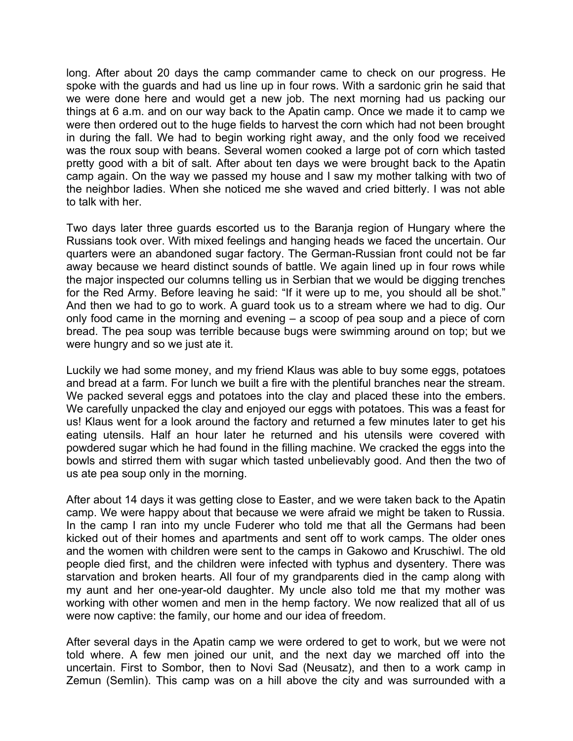long. After about 20 days the camp commander came to check on our progress. He spoke with the guards and had us line up in four rows. With a sardonic grin he said that we were done here and would get a new job. The next morning had us packing our things at 6 a.m. and on our way back to the Apatin camp. Once we made it to camp we were then ordered out to the huge fields to harvest the corn which had not been brought in during the fall. We had to begin working right away, and the only food we received was the roux soup with beans. Several women cooked a large pot of corn which tasted pretty good with a bit of salt. After about ten days we were brought back to the Apatin camp again. On the way we passed my house and I saw my mother talking with two of the neighbor ladies. When she noticed me she waved and cried bitterly. I was not able to talk with her.

Two days later three guards escorted us to the Baranja region of Hungary where the Russians took over. With mixed feelings and hanging heads we faced the uncertain. Our quarters were an abandoned sugar factory. The German-Russian front could not be far away because we heard distinct sounds of battle. We again lined up in four rows while the major inspected our columns telling us in Serbian that we would be digging trenches for the Red Army. Before leaving he said: "If it were up to me, you should all be shot." And then we had to go to work. A guard took us to a stream where we had to dig. Our only food came in the morning and evening – a scoop of pea soup and a piece of corn bread. The pea soup was terrible because bugs were swimming around on top; but we were hungry and so we just ate it.

Luckily we had some money, and my friend Klaus was able to buy some eggs, potatoes and bread at a farm. For lunch we built a fire with the plentiful branches near the stream. We packed several eggs and potatoes into the clay and placed these into the embers. We carefully unpacked the clay and enjoyed our eggs with potatoes. This was a feast for us! Klaus went for a look around the factory and returned a few minutes later to get his eating utensils. Half an hour later he returned and his utensils were covered with powdered sugar which he had found in the filling machine. We cracked the eggs into the bowls and stirred them with sugar which tasted unbelievably good. And then the two of us ate pea soup only in the morning.

After about 14 days it was getting close to Easter, and we were taken back to the Apatin camp. We were happy about that because we were afraid we might be taken to Russia. In the camp I ran into my uncle Fuderer who told me that all the Germans had been kicked out of their homes and apartments and sent off to work camps. The older ones and the women with children were sent to the camps in Gakowo and Kruschiwl. The old people died first, and the children were infected with typhus and dysentery. There was starvation and broken hearts. All four of my grandparents died in the camp along with my aunt and her one-year-old daughter. My uncle also told me that my mother was working with other women and men in the hemp factory. We now realized that all of us were now captive: the family, our home and our idea of freedom.

After several days in the Apatin camp we were ordered to get to work, but we were not told where. A few men joined our unit, and the next day we marched off into the uncertain. First to Sombor, then to Novi Sad (Neusatz), and then to a work camp in Zemun (Semlin). This camp was on a hill above the city and was surrounded with a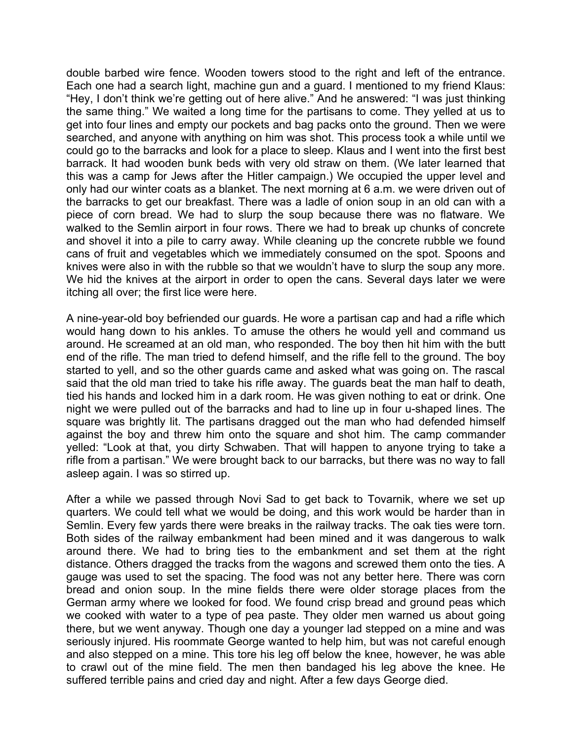double barbed wire fence. Wooden towers stood to the right and left of the entrance. Each one had a search light, machine gun and a guard. I mentioned to my friend Klaus: "Hey, I don't think we're getting out of here alive." And he answered: "I was just thinking the same thing." We waited a long time for the partisans to come. They yelled at us to get into four lines and empty our pockets and bag packs onto the ground. Then we were searched, and anyone with anything on him was shot. This process took a while until we could go to the barracks and look for a place to sleep. Klaus and I went into the first best barrack. It had wooden bunk beds with very old straw on them. (We later learned that this was a camp for Jews after the Hitler campaign.) We occupied the upper level and only had our winter coats as a blanket. The next morning at 6 a.m. we were driven out of the barracks to get our breakfast. There was a ladle of onion soup in an old can with a piece of corn bread. We had to slurp the soup because there was no flatware. We walked to the Semlin airport in four rows. There we had to break up chunks of concrete and shovel it into a pile to carry away. While cleaning up the concrete rubble we found cans of fruit and vegetables which we immediately consumed on the spot. Spoons and knives were also in with the rubble so that we wouldn't have to slurp the soup any more. We hid the knives at the airport in order to open the cans. Several days later we were itching all over; the first lice were here.

A nine-year-old boy befriended our guards. He wore a partisan cap and had a rifle which would hang down to his ankles. To amuse the others he would yell and command us around. He screamed at an old man, who responded. The boy then hit him with the butt end of the rifle. The man tried to defend himself, and the rifle fell to the ground. The boy started to yell, and so the other guards came and asked what was going on. The rascal said that the old man tried to take his rifle away. The guards beat the man half to death, tied his hands and locked him in a dark room. He was given nothing to eat or drink. One night we were pulled out of the barracks and had to line up in four u-shaped lines. The square was brightly lit. The partisans dragged out the man who had defended himself against the boy and threw him onto the square and shot him. The camp commander yelled: "Look at that, you dirty Schwaben. That will happen to anyone trying to take a rifle from a partisan." We were brought back to our barracks, but there was no way to fall asleep again. I was so stirred up.

After a while we passed through Novi Sad to get back to Tovarnik, where we set up quarters. We could tell what we would be doing, and this work would be harder than in Semlin. Every few yards there were breaks in the railway tracks. The oak ties were torn. Both sides of the railway embankment had been mined and it was dangerous to walk around there. We had to bring ties to the embankment and set them at the right distance. Others dragged the tracks from the wagons and screwed them onto the ties. A gauge was used to set the spacing. The food was not any better here. There was corn bread and onion soup. In the mine fields there were older storage places from the German army where we looked for food. We found crisp bread and ground peas which we cooked with water to a type of pea paste. They older men warned us about going there, but we went anyway. Though one day a younger lad stepped on a mine and was seriously injured. His roommate George wanted to help him, but was not careful enough and also stepped on a mine. This tore his leg off below the knee, however, he was able to crawl out of the mine field. The men then bandaged his leg above the knee. He suffered terrible pains and cried day and night. After a few days George died.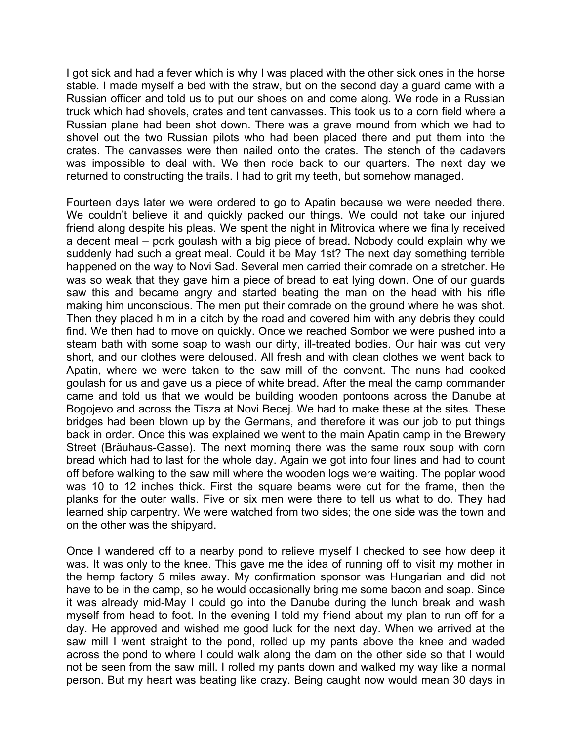I got sick and had a fever which is why I was placed with the other sick ones in the horse stable. I made myself a bed with the straw, but on the second day a guard came with a Russian officer and told us to put our shoes on and come along. We rode in a Russian truck which had shovels, crates and tent canvasses. This took us to a corn field where a Russian plane had been shot down. There was a grave mound from which we had to shovel out the two Russian pilots who had been placed there and put them into the crates. The canvasses were then nailed onto the crates. The stench of the cadavers was impossible to deal with. We then rode back to our quarters. The next day we returned to constructing the trails. I had to grit my teeth, but somehow managed.

Fourteen days later we were ordered to go to Apatin because we were needed there. We couldn't believe it and quickly packed our things. We could not take our injured friend along despite his pleas. We spent the night in Mitrovica where we finally received a decent meal – pork goulash with a big piece of bread. Nobody could explain why we suddenly had such a great meal. Could it be May 1st? The next day something terrible happened on the way to Novi Sad. Several men carried their comrade on a stretcher. He was so weak that they gave him a piece of bread to eat lying down. One of our guards saw this and became angry and started beating the man on the head with his rifle making him unconscious. The men put their comrade on the ground where he was shot. Then they placed him in a ditch by the road and covered him with any debris they could find. We then had to move on quickly. Once we reached Sombor we were pushed into a steam bath with some soap to wash our dirty, ill-treated bodies. Our hair was cut very short, and our clothes were deloused. All fresh and with clean clothes we went back to Apatin, where we were taken to the saw mill of the convent. The nuns had cooked goulash for us and gave us a piece of white bread. After the meal the camp commander came and told us that we would be building wooden pontoons across the Danube at Bogojevo and across the Tisza at Novi Becej. We had to make these at the sites. These bridges had been blown up by the Germans, and therefore it was our job to put things back in order. Once this was explained we went to the main Apatin camp in the Brewery Street (Bräuhaus-Gasse). The next morning there was the same roux soup with corn bread which had to last for the whole day. Again we got into four lines and had to count off before walking to the saw mill where the wooden logs were waiting. The poplar wood was 10 to 12 inches thick. First the square beams were cut for the frame, then the planks for the outer walls. Five or six men were there to tell us what to do. They had learned ship carpentry. We were watched from two sides; the one side was the town and on the other was the shipyard.

Once I wandered off to a nearby pond to relieve myself I checked to see how deep it was. It was only to the knee. This gave me the idea of running off to visit my mother in the hemp factory 5 miles away. My confirmation sponsor was Hungarian and did not have to be in the camp, so he would occasionally bring me some bacon and soap. Since it was already mid-May I could go into the Danube during the lunch break and wash myself from head to foot. In the evening I told my friend about my plan to run off for a day. He approved and wished me good luck for the next day. When we arrived at the saw mill I went straight to the pond, rolled up my pants above the knee and waded across the pond to where I could walk along the dam on the other side so that I would not be seen from the saw mill. I rolled my pants down and walked my way like a normal person. But my heart was beating like crazy. Being caught now would mean 30 days in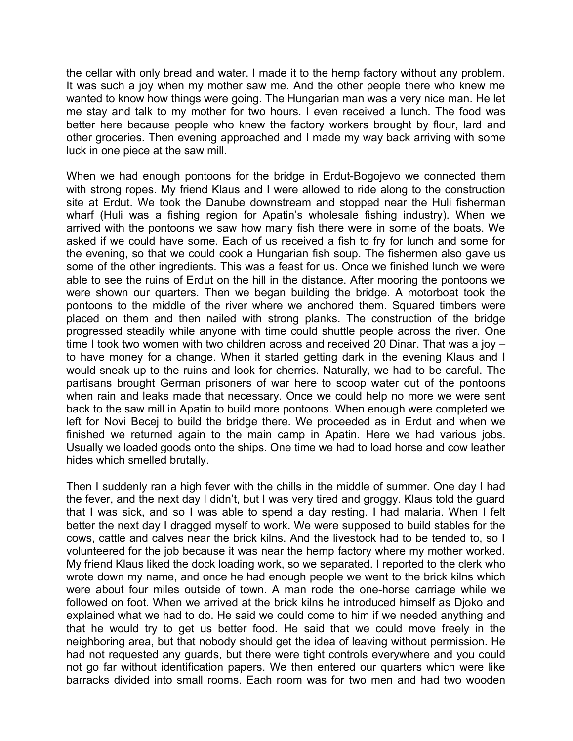the cellar with only bread and water. I made it to the hemp factory without any problem. It was such a joy when my mother saw me. And the other people there who knew me wanted to know how things were going. The Hungarian man was a very nice man. He let me stay and talk to my mother for two hours. I even received a lunch. The food was better here because people who knew the factory workers brought by flour, lard and other groceries. Then evening approached and I made my way back arriving with some luck in one piece at the saw mill.

When we had enough pontoons for the bridge in Erdut-Bogojevo we connected them with strong ropes. My friend Klaus and I were allowed to ride along to the construction site at Erdut. We took the Danube downstream and stopped near the Huli fisherman wharf (Huli was a fishing region for Apatin's wholesale fishing industry). When we arrived with the pontoons we saw how many fish there were in some of the boats. We asked if we could have some. Each of us received a fish to fry for lunch and some for the evening, so that we could cook a Hungarian fish soup. The fishermen also gave us some of the other ingredients. This was a feast for us. Once we finished lunch we were able to see the ruins of Erdut on the hill in the distance. After mooring the pontoons we were shown our quarters. Then we began building the bridge. A motorboat took the pontoons to the middle of the river where we anchored them. Squared timbers were placed on them and then nailed with strong planks. The construction of the bridge progressed steadily while anyone with time could shuttle people across the river. One time I took two women with two children across and received 20 Dinar. That was a joy – to have money for a change. When it started getting dark in the evening Klaus and I would sneak up to the ruins and look for cherries. Naturally, we had to be careful. The partisans brought German prisoners of war here to scoop water out of the pontoons when rain and leaks made that necessary. Once we could help no more we were sent back to the saw mill in Apatin to build more pontoons. When enough were completed we left for Novi Becej to build the bridge there. We proceeded as in Erdut and when we finished we returned again to the main camp in Apatin. Here we had various jobs. Usually we loaded goods onto the ships. One time we had to load horse and cow leather hides which smelled brutally.

Then I suddenly ran a high fever with the chills in the middle of summer. One day I had the fever, and the next day I didn't, but I was very tired and groggy. Klaus told the guard that I was sick, and so I was able to spend a day resting. I had malaria. When I felt better the next day I dragged myself to work. We were supposed to build stables for the cows, cattle and calves near the brick kilns. And the livestock had to be tended to, so I volunteered for the job because it was near the hemp factory where my mother worked. My friend Klaus liked the dock loading work, so we separated. I reported to the clerk who wrote down my name, and once he had enough people we went to the brick kilns which were about four miles outside of town. A man rode the one-horse carriage while we followed on foot. When we arrived at the brick kilns he introduced himself as Djoko and explained what we had to do. He said we could come to him if we needed anything and that he would try to get us better food. He said that we could move freely in the neighboring area, but that nobody should get the idea of leaving without permission. He had not requested any guards, but there were tight controls everywhere and you could not go far without identification papers. We then entered our quarters which were like barracks divided into small rooms. Each room was for two men and had two wooden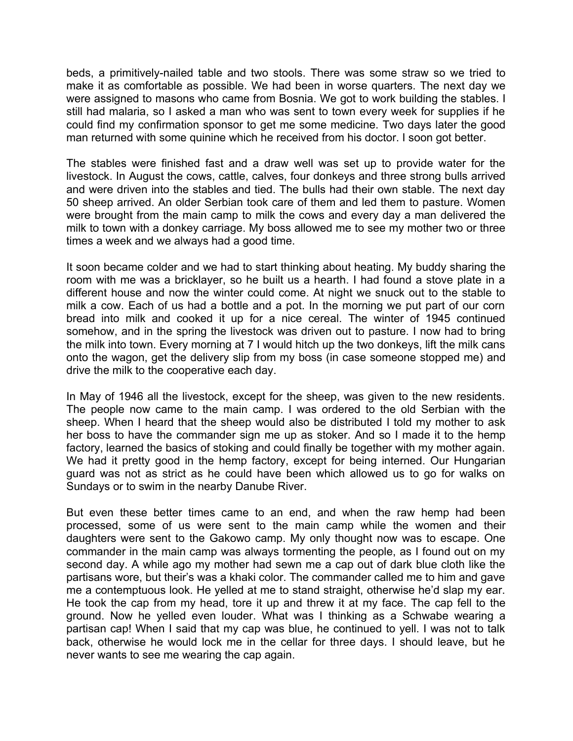beds, a primitively-nailed table and two stools. There was some straw so we tried to make it as comfortable as possible. We had been in worse quarters. The next day we were assigned to masons who came from Bosnia. We got to work building the stables. I still had malaria, so I asked a man who was sent to town every week for supplies if he could find my confirmation sponsor to get me some medicine. Two days later the good man returned with some quinine which he received from his doctor. I soon got better.

The stables were finished fast and a draw well was set up to provide water for the livestock. In August the cows, cattle, calves, four donkeys and three strong bulls arrived and were driven into the stables and tied. The bulls had their own stable. The next day 50 sheep arrived. An older Serbian took care of them and led them to pasture. Women were brought from the main camp to milk the cows and every day a man delivered the milk to town with a donkey carriage. My boss allowed me to see my mother two or three times a week and we always had a good time.

It soon became colder and we had to start thinking about heating. My buddy sharing the room with me was a bricklayer, so he built us a hearth. I had found a stove plate in a different house and now the winter could come. At night we snuck out to the stable to milk a cow. Each of us had a bottle and a pot. In the morning we put part of our corn bread into milk and cooked it up for a nice cereal. The winter of 1945 continued somehow, and in the spring the livestock was driven out to pasture. I now had to bring the milk into town. Every morning at 7 I would hitch up the two donkeys, lift the milk cans onto the wagon, get the delivery slip from my boss (in case someone stopped me) and drive the milk to the cooperative each day.

In May of 1946 all the livestock, except for the sheep, was given to the new residents. The people now came to the main camp. I was ordered to the old Serbian with the sheep. When I heard that the sheep would also be distributed I told my mother to ask her boss to have the commander sign me up as stoker. And so I made it to the hemp factory, learned the basics of stoking and could finally be together with my mother again. We had it pretty good in the hemp factory, except for being interned. Our Hungarian guard was not as strict as he could have been which allowed us to go for walks on Sundays or to swim in the nearby Danube River.

But even these better times came to an end, and when the raw hemp had been processed, some of us were sent to the main camp while the women and their daughters were sent to the Gakowo camp. My only thought now was to escape. One commander in the main camp was always tormenting the people, as I found out on my second day. A while ago my mother had sewn me a cap out of dark blue cloth like the partisans wore, but their's was a khaki color. The commander called me to him and gave me a contemptuous look. He yelled at me to stand straight, otherwise he'd slap my ear. He took the cap from my head, tore it up and threw it at my face. The cap fell to the ground. Now he yelled even louder. What was I thinking as a Schwabe wearing a partisan cap! When I said that my cap was blue, he continued to yell. I was not to talk back, otherwise he would lock me in the cellar for three days. I should leave, but he never wants to see me wearing the cap again.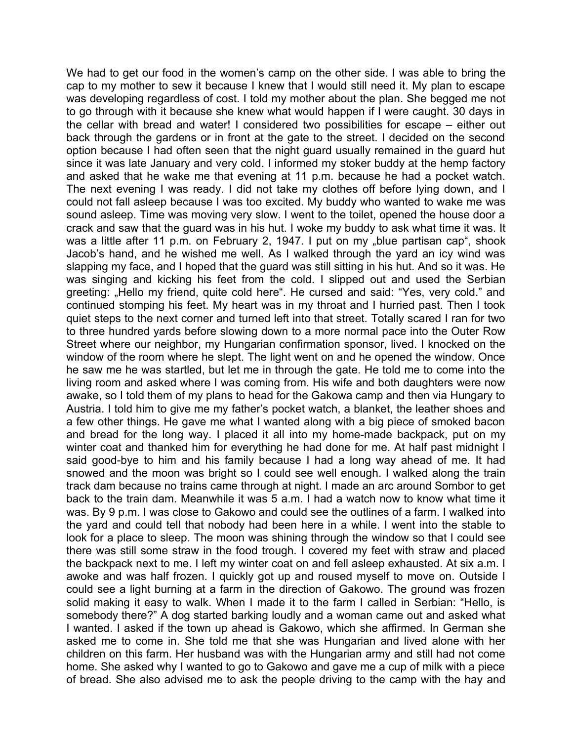We had to get our food in the women's camp on the other side. I was able to bring the cap to my mother to sew it because I knew that I would still need it. My plan to escape was developing regardless of cost. I told my mother about the plan. She begged me not to go through with it because she knew what would happen if I were caught. 30 days in the cellar with bread and water! I considered two possibilities for escape – either out back through the gardens or in front at the gate to the street. I decided on the second option because I had often seen that the night guard usually remained in the guard hut since it was late January and very cold. I informed my stoker buddy at the hemp factory and asked that he wake me that evening at 11 p.m. because he had a pocket watch. The next evening I was ready. I did not take my clothes off before lying down, and I could not fall asleep because I was too excited. My buddy who wanted to wake me was sound asleep. Time was moving very slow. I went to the toilet, opened the house door a crack and saw that the guard was in his hut. I woke my buddy to ask what time it was. It was a little after 11 p.m. on February 2, 1947. I put on my "blue partisan cap", shook Jacob's hand, and he wished me well. As I walked through the yard an icy wind was slapping my face, and I hoped that the guard was still sitting in his hut. And so it was. He was singing and kicking his feet from the cold. I slipped out and used the Serbian greeting: "Hello my friend, quite cold here". He cursed and said: "Yes, very cold." and continued stomping his feet. My heart was in my throat and I hurried past. Then I took quiet steps to the next corner and turned left into that street. Totally scared I ran for two to three hundred yards before slowing down to a more normal pace into the Outer Row Street where our neighbor, my Hungarian confirmation sponsor, lived. I knocked on the window of the room where he slept. The light went on and he opened the window. Once he saw me he was startled, but let me in through the gate. He told me to come into the living room and asked where I was coming from. His wife and both daughters were now awake, so I told them of my plans to head for the Gakowa camp and then via Hungary to Austria. I told him to give me my father's pocket watch, a blanket, the leather shoes and a few other things. He gave me what I wanted along with a big piece of smoked bacon and bread for the long way. I placed it all into my home-made backpack, put on my winter coat and thanked him for everything he had done for me. At half past midnight I said good-bye to him and his family because I had a long way ahead of me. It had snowed and the moon was bright so I could see well enough. I walked along the train track dam because no trains came through at night. I made an arc around Sombor to get back to the train dam. Meanwhile it was 5 a.m. I had a watch now to know what time it was. By 9 p.m. I was close to Gakowo and could see the outlines of a farm. I walked into the yard and could tell that nobody had been here in a while. I went into the stable to look for a place to sleep. The moon was shining through the window so that I could see there was still some straw in the food trough. I covered my feet with straw and placed the backpack next to me. I left my winter coat on and fell asleep exhausted. At six a.m. I awoke and was half frozen. I quickly got up and roused myself to move on. Outside I could see a light burning at a farm in the direction of Gakowo. The ground was frozen solid making it easy to walk. When I made it to the farm I called in Serbian: "Hello, is somebody there?" A dog started barking loudly and a woman came out and asked what I wanted. I asked if the town up ahead is Gakowo, which she affirmed. In German she asked me to come in. She told me that she was Hungarian and lived alone with her children on this farm. Her husband was with the Hungarian army and still had not come home. She asked why I wanted to go to Gakowo and gave me a cup of milk with a piece of bread. She also advised me to ask the people driving to the camp with the hay and